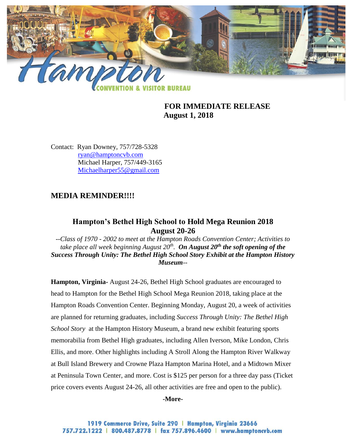

# **FOR IMMEDIATE RELEASE August 1, 2018**

Contact: Ryan Downey, 757/728-5328 [ryan@hamptoncvb.com](mailto:ryan@hamptoncvb.com) Michael Harper, 757/449-3165 [Michaelharper55@gmail.com](mailto:Michaelharper55@gmail.com)

# **MEDIA REMINDER!!!!**

## **Hampton's Bethel High School to Hold Mega Reunion 2018 August 20-26**

*--Class of 1970 - 2002 to meet at the Hampton Roads Convention Center; Activities to take place all week beginning August 20th . On August 20th the soft opening of the Success Through Unity: The Bethel High School Story Exhibit at the Hampton History Museum--*

**Hampton, Virginia-** August 24-26, Bethel High School graduates are encouraged to head to Hampton for the Bethel High School Mega Reunion 2018, taking place at the Hampton Roads Convention Center. Beginning Monday, August 20, a week of activities are planned for returning graduates, including *Success Through Unity: The Bethel High School Story* at the Hampton History Museum, a brand new exhibit featuring sports memorabilia from Bethel High graduates, including Allen Iverson, Mike London, Chris Ellis, and more. Other highlights including A Stroll Along the Hampton River Walkway at Bull Island Brewery and Crowne Plaza Hampton Marina Hotel, and a Midtown Mixer at Peninsula Town Center, and more. Cost is \$125 per person for a three day pass (Ticket price covers events August 24-26, all other activities are free and open to the public).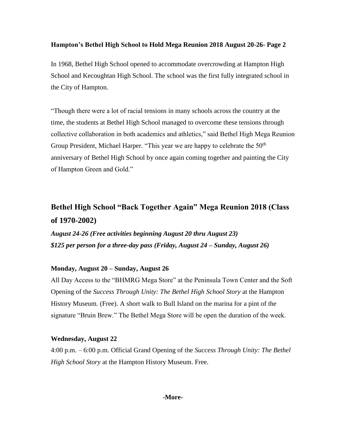In 1968, Bethel High School opened to accommodate overcrowding at Hampton High School and Kecoughtan High School. The school was the first fully integrated school in the City of Hampton.

"Though there were a lot of racial tensions in many schools across the country at the time, the students at Bethel High School managed to overcome these tensions through collective collaboration in both academics and athletics," said Bethel High Mega Reunion Group President, Michael Harper. "This year we are happy to celebrate the  $50<sup>th</sup>$ anniversary of Bethel High School by once again coming together and painting the City of Hampton Green and Gold."

# **Bethel High School "Back Together Again" Mega Reunion 2018 (Class of 1970-2002)**

*August 24-26 (Free activities beginning August 20 thru August 23) \$125 per person for a three-day pass (Friday, August 24 – Sunday, August 26)*

## **Monday, August 20 – Sunday, August 26**

All Day Access to the "BHMRG Mega Store" at the Peninsula Town Center and the Soft Opening of the *Success Through Unity: The Bethel High School Story* at the Hampton History Museum. (Free). A short walk to Bull Island on the marina for a pint of the signature "Bruin Brew." The Bethel Mega Store will be open the duration of the week.

## **Wednesday, August 22**

4:00 p.m. – 6:00 p.m. Official Grand Opening of the *Success Through Unity: The Bethel High School Story* at the Hampton History Museum. Free.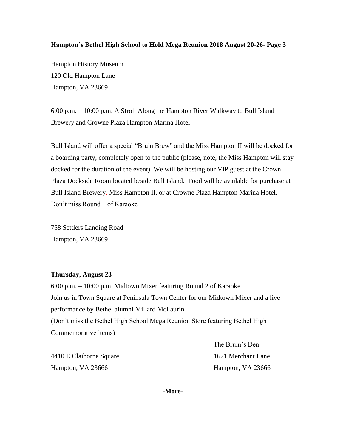Hampton History Museum 120 Old Hampton Lane Hampton, VA 23669

6:00 p.m. – 10:00 p.m. A Stroll Along the Hampton River Walkway to Bull Island Brewery and Crowne Plaza Hampton Marina Hotel

Bull Island will offer a special "Bruin Brew" and the Miss Hampton II will be docked for a boarding party, completely open to the public (please, note, the Miss Hampton will stay docked for the duration of the event). We will be hosting our VIP guest at the Crown Plaza Dockside Room located beside Bull Island. Food will be available for purchase at Bull Island Brewery, Miss Hampton II, or at Crowne Plaza Hampton Marina Hotel. Don't miss Round 1 of Karaoke

758 Settlers Landing Road Hampton, VA 23669

### **Thursday, August 23**

6:00 p.m. – 10:00 p.m. Midtown Mixer featuring Round 2 of Karaoke Join us in Town Square at Peninsula Town Center for our Midtown Mixer and a live performance by Bethel alumni Millard McLaurin (Don't miss the Bethel High School Mega Reunion Store featuring Bethel High Commemorative items)

4410 E Claiborne Square 1671 Merchant Lane Hampton, VA 23666 Hampton, VA 23666

The Bruin's Den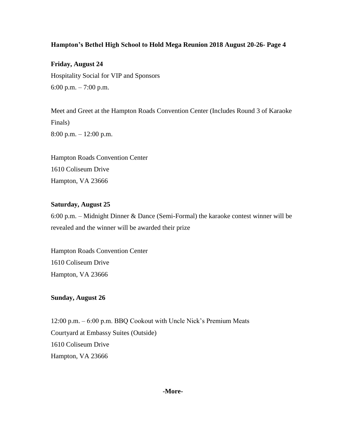**Friday, August 24** Hospitality Social for VIP and Sponsors 6:00 p.m. – 7:00 p.m.

Meet and Greet at the Hampton Roads Convention Center (Includes Round 3 of Karaoke Finals) 8:00 p.m. – 12:00 p.m.

Hampton Roads Convention Center 1610 Coliseum Drive Hampton, VA 23666

### **Saturday, August 25**

6:00 p.m. – Midnight Dinner & Dance (Semi-Formal) the karaoke contest winner will be revealed and the winner will be awarded their prize

Hampton Roads Convention Center 1610 Coliseum Drive Hampton, VA 23666

## **Sunday, August 26**

12:00 p.m. – 6:00 p.m. BBQ Cookout with Uncle Nick's Premium Meats Courtyard at Embassy Suites (Outside) 1610 Coliseum Drive Hampton, VA 23666